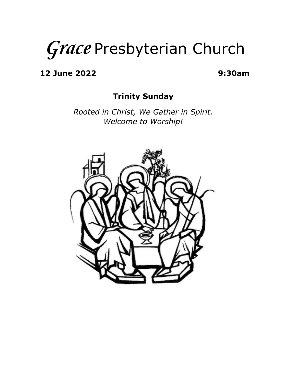# *Grace* Presbyterian Church

**12 June 2022 9:30am**

#### **Trinity Sunday**

*Rooted in Christ, We Gather in Spirit. Welcome to Worship!*

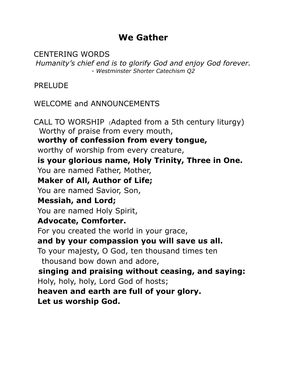# **We Gather**

CENTERING WORDS *Humanity's chief end is to glorify God and enjoy God forever. - Westminster Shorter Catechism Q2*

PRELUDE

WELCOME and ANNOUNCEMENTS

CALL TO WORSHIP (Adapted from a 5th century liturgy) Worthy of praise from every mouth, **worthy of confession from every tongue,** worthy of worship from every creature, **is your glorious name, Holy Trinity, Three in One.** You are named Father, Mother, **Maker of All, Author of Life;** You are named Savior, Son, **Messiah, and Lord;** You are named Holy Spirit, **Advocate, Comforter.** For you created the world in your grace, **and by your compassion you will save us all.** To your majesty, O God, ten thousand times ten thousand bow down and adore, **singing and praising without ceasing, and saying:** Holy, holy, holy, Lord God of hosts; **heaven and earth are full of your glory. Let us worship God.**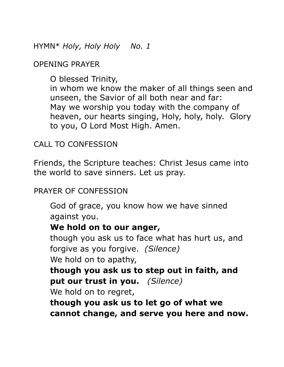HYMN\* *Holy, Holy Holy No. 1*

OPENING PRAYER

O blessed Trinity,

in whom we know the maker of all things seen and unseen, the Savior of all both near and far: May we worship you today with the company of heaven, our hearts singing, Holy, holy, holy. Glory to you, O Lord Most High. Amen.

CALL TO CONFESSION

Friends, the Scripture teaches: Christ Jesus came into the world to save sinners. Let us pray.

PRAYER OF CONFESSION

God of grace, you know how we have sinned against you.

#### **We hold on to our anger,**

though you ask us to face what has hurt us, and forgive as you forgive. *(Silence)* We hold on to apathy,

**though you ask us to step out in faith, and put our trust in you.** *(Silence)*

We hold on to regret,

**though you ask us to let go of what we cannot change, and serve you here and now.**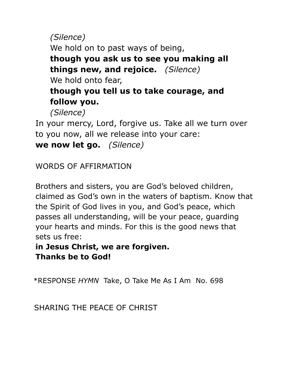*(Silence)* We hold on to past ways of being, **though you ask us to see you making all things new, and rejoice.** *(Silence)* We hold onto fear, **though you tell us to take courage, and follow you.**

*(Silence)*

In your mercy, Lord, forgive us. Take all we turn over to you now, all we release into your care: **we now let go.** *(Silence)*

WORDS OF AFFIRMATION

Brothers and sisters, you are God's beloved children, claimed as God's own in the waters of baptism. Know that the Spirit of God lives in you, and God's peace, which passes all understanding, will be your peace, guarding your hearts and minds. For this is the good news that sets us free:

**in Jesus Christ, we are forgiven. Thanks be to God!**

\*RESPONSE *HYMN* Take, O Take Me As I Am No. 698

SHARING THE PEACE OF CHRIST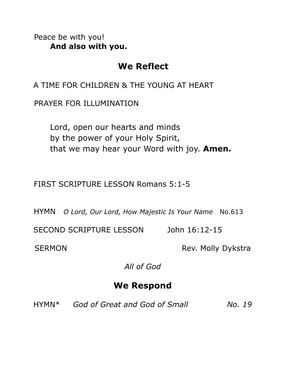Peace be with you! **And also with you.**

## **We Reflect**

A TIME FOR CHILDREN & THE YOUNG AT HEART

PRAYER FOR ILLUMINATION

Lord, open our hearts and minds by the power of your Holy Spirit, that we may hear your Word with joy. **Amen.**

FIRST SCRIPTURE LESSON Romans 5:1-5

HYMN *O Lord, Our Lord, How Majestic Is Your Name* No.613

SECOND SCRIPTURE LESSON John 16:12-15

SERMON Rev. Molly Dykstra

*All of God*

## **We Respond**

HYMN\* *God of Great and God of Small No. 19*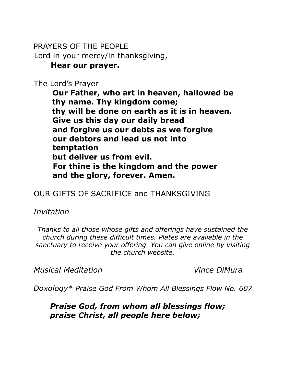#### PRAYERS OF THE PEOPLE Lord in your mercy/in thanksgiving, **Hear our prayer.**

The Lord's Prayer

**Our Father, who art in heaven, hallowed be thy name. Thy kingdom come; thy will be done on earth as it is in heaven. Give us this day our daily bread and forgive us our debts as we forgive our debtors and lead us not into temptation but deliver us from evil. For thine is the kingdom and the power and the glory, forever. Amen.**

### OUR GIFTS OF SACRIFICE and THANKSGIVING

*Invitation*

*Thanks to all those whose gifts and offerings have sustained the church during these difficult times. Plates are available in the sanctuary to receive your offering. You can give online by visiting the church website.*

*Musical Meditation Vince DiMura*

*Doxology\* Praise God From Whom All Blessings Flow No. 607*

*Praise God, from whom all blessings flow; praise Christ, all people here below;*